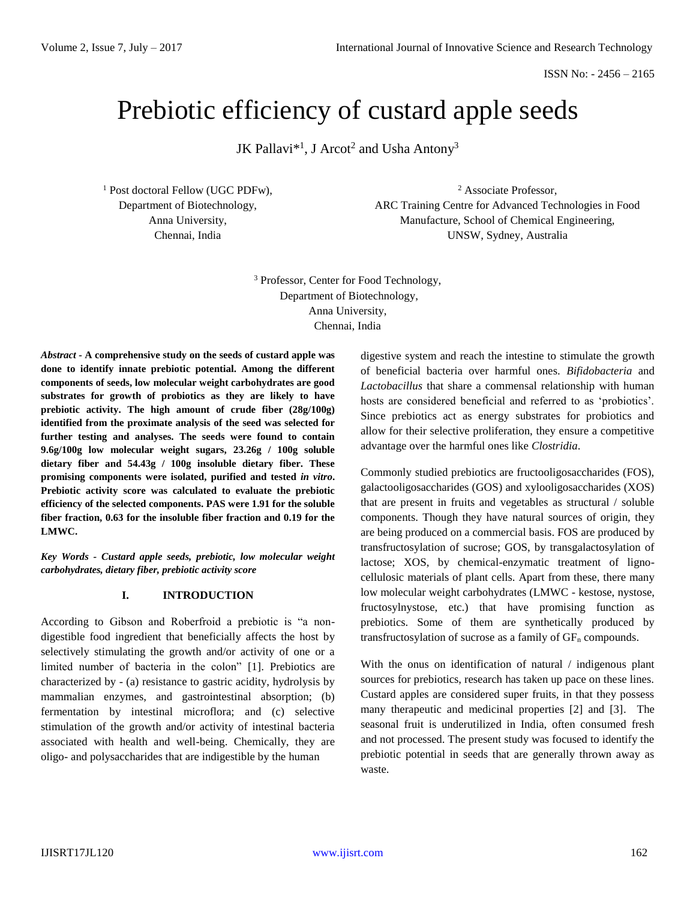ISSN No: - 2456 – 2165

# Prebiotic efficiency of custard apple seeds

JK Pallavi $^{*1}$ , J Arcot<sup>2</sup> and Usha Antony<sup>3</sup>

<sup>1</sup> Post doctoral Fellow (UGC PDFw), Department of Biotechnology, Anna University, Chennai, India

<sup>2</sup> Associate Professor, ARC Training Centre for Advanced Technologies in Food Manufacture, School of Chemical Engineering, UNSW, Sydney, Australia

<sup>3</sup> Professor, Center for Food Technology, Department of Biotechnology, Anna University, Chennai, India

*Abstract -* **A comprehensive study on the seeds of custard apple was done to identify innate prebiotic potential. Among the different components of seeds, low molecular weight carbohydrates are good substrates for growth of probiotics as they are likely to have prebiotic activity. The high amount of crude fiber (28g/100g) identified from the proximate analysis of the seed was selected for further testing and analyses. The seeds were found to contain 9.6g/100g low molecular weight sugars, 23.26g / 100g soluble dietary fiber and 54.43g / 100g insoluble dietary fiber. These promising components were isolated, purified and tested** *in vitro***. Prebiotic activity score was calculated to evaluate the prebiotic efficiency of the selected components. PAS were 1.91 for the soluble fiber fraction, 0.63 for the insoluble fiber fraction and 0.19 for the LMWC.** 

*Key Words - Custard apple seeds, prebiotic, low molecular weight carbohydrates, dietary fiber, prebiotic activity score*

#### **I. INTRODUCTION**

According to Gibson and Roberfroid a prebiotic is "a nondigestible food ingredient that beneficially affects the host by selectively stimulating the growth and/or activity of one or a limited number of bacteria in the colon" [1]. Prebiotics are characterized by - (a) resistance to gastric acidity, hydrolysis by mammalian enzymes, and gastrointestinal absorption; (b) fermentation by intestinal microflora; and (c) selective stimulation of the growth and/or activity of intestinal bacteria associated with health and well-being. Chemically, they are oligo- and polysaccharides that are indigestible by the human

digestive system and reach the intestine to stimulate the growth of beneficial bacteria over harmful ones. *Bifidobacteria* and *Lactobacillus* that share a commensal relationship with human hosts are considered beneficial and referred to as 'probiotics'. Since prebiotics act as energy substrates for probiotics and allow for their selective proliferation, they ensure a competitive advantage over the harmful ones like *Clostridia*.

Commonly studied prebiotics are fructooligosaccharides (FOS), galactooligosaccharides (GOS) and xylooligosaccharides (XOS) that are present in fruits and vegetables as structural / soluble components. Though they have natural sources of origin, they are being produced on a commercial basis. FOS are produced by transfructosylation of sucrose; GOS, by transgalactosylation of lactose; XOS, by chemical-enzymatic treatment of lignocellulosic materials of plant cells. Apart from these, there many low molecular weight carbohydrates (LMWC - kestose, nystose, fructosylnystose, etc.) that have promising function as prebiotics. Some of them are synthetically produced by transfructosylation of sucrose as a family of  $GF_n$  compounds.

With the onus on identification of natural / indigenous plant sources for prebiotics, research has taken up pace on these lines. Custard apples are considered super fruits, in that they possess many therapeutic and medicinal properties [2] and [3]. The seasonal fruit is underutilized in India, often consumed fresh and not processed. The present study was focused to identify the prebiotic potential in seeds that are generally thrown away as waste.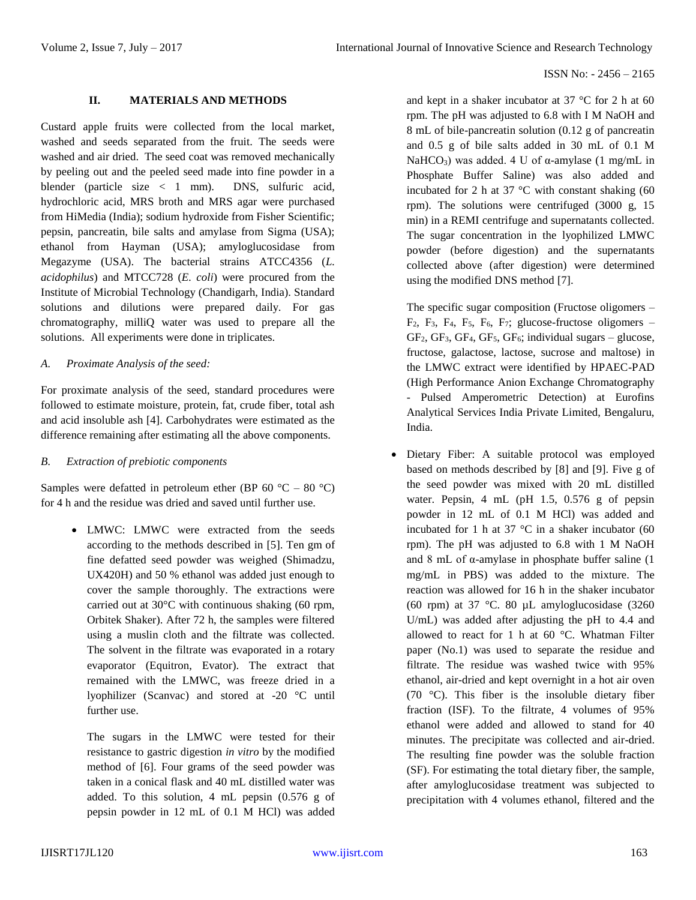# **II. MATERIALS AND METHODS**

Custard apple fruits were collected from the local market, washed and seeds separated from the fruit. The seeds were washed and air dried. The seed coat was removed mechanically by peeling out and the peeled seed made into fine powder in a blender (particle size < 1 mm). DNS, sulfuric acid, hydrochloric acid, MRS broth and MRS agar were purchased from HiMedia (India); sodium hydroxide from Fisher Scientific; pepsin, pancreatin, bile salts and amylase from Sigma (USA); ethanol from Hayman (USA); amyloglucosidase from Megazyme (USA). The bacterial strains ATCC4356 (*L. acidophilus*) and MTCC728 (*E. coli*) were procured from the Institute of Microbial Technology (Chandigarh, India). Standard solutions and dilutions were prepared daily. For gas chromatography, milliQ water was used to prepare all the solutions. All experiments were done in triplicates.

## *A. Proximate Analysis of the seed:*

For proximate analysis of the seed, standard procedures were followed to estimate moisture, protein, fat, crude fiber, total ash and acid insoluble ash [4]. Carbohydrates were estimated as the difference remaining after estimating all the above components.

# *B. Extraction of prebiotic components*

Samples were defatted in petroleum ether (BP 60  $^{\circ}$ C – 80  $^{\circ}$ C) for 4 h and the residue was dried and saved until further use.

> LMWC: LMWC were extracted from the seeds according to the methods described in [5]. Ten gm of fine defatted seed powder was weighed (Shimadzu, UX420H) and 50 % ethanol was added just enough to cover the sample thoroughly. The extractions were carried out at 30°C with continuous shaking (60 rpm, Orbitek Shaker). After 72 h, the samples were filtered using a muslin cloth and the filtrate was collected. The solvent in the filtrate was evaporated in a rotary evaporator (Equitron, Evator). The extract that remained with the LMWC, was freeze dried in a lyophilizer (Scanvac) and stored at -20 °C until further use.

The sugars in the LMWC were tested for their resistance to gastric digestion *in vitro* by the modified method of [6]. Four grams of the seed powder was taken in a conical flask and 40 mL distilled water was added. To this solution, 4 mL pepsin (0.576 g of pepsin powder in 12 mL of 0.1 M HCl) was added and kept in a shaker incubator at 37 °C for 2 h at 60 rpm. The pH was adjusted to 6.8 with I M NaOH and 8 mL of bile-pancreatin solution (0.12 g of pancreatin and 0.5 g of bile salts added in 30 mL of 0.1 M NaHCO<sub>3</sub>) was added. 4 U of α-amylase (1 mg/mL in Phosphate Buffer Saline) was also added and incubated for 2 h at 37  $\degree$ C with constant shaking (60 rpm). The solutions were centrifuged (3000 g, 15 min) in a REMI centrifuge and supernatants collected. The sugar concentration in the lyophilized LMWC powder (before digestion) and the supernatants collected above (after digestion) were determined using the modified DNS method [7].

The specific sugar composition (Fructose oligomers –  $F_2$ ,  $F_3$ ,  $F_4$ ,  $F_5$ ,  $F_6$ ,  $F_7$ ; glucose-fructose oligomers –  $GF<sub>2</sub>, GF<sub>3</sub>, GF<sub>4</sub>, GF<sub>5</sub>, GF<sub>6</sub>; individual sugars – glucose,$ fructose, galactose, lactose, sucrose and maltose) in the LMWC extract were identified by HPAEC-PAD (High Performance Anion Exchange Chromatography - Pulsed Amperometric Detection) at Eurofins Analytical Services India Private Limited, Bengaluru, India.

 Dietary Fiber: A suitable protocol was employed based on methods described by [8] and [9]. Five g of the seed powder was mixed with 20 mL distilled water. Pepsin, 4 mL (pH 1.5, 0.576 g of pepsin powder in 12 mL of 0.1 M HCl) was added and incubated for 1 h at 37  $\degree$ C in a shaker incubator (60 rpm). The pH was adjusted to 6.8 with 1 M NaOH and 8 mL of  $\alpha$ -amylase in phosphate buffer saline (1) mg/mL in PBS) was added to the mixture. The reaction was allowed for 16 h in the shaker incubator (60 rpm) at 37 °C. 80  $\mu$ L amyloglucosidase (3260 U/mL) was added after adjusting the pH to 4.4 and allowed to react for 1 h at 60 °C. Whatman Filter paper (No.1) was used to separate the residue and filtrate. The residue was washed twice with 95% ethanol, air-dried and kept overnight in a hot air oven (70 °C). This fiber is the insoluble dietary fiber fraction (ISF). To the filtrate, 4 volumes of 95% ethanol were added and allowed to stand for 40 minutes. The precipitate was collected and air-dried. The resulting fine powder was the soluble fraction (SF). For estimating the total dietary fiber, the sample, after amyloglucosidase treatment was subjected to precipitation with 4 volumes ethanol, filtered and the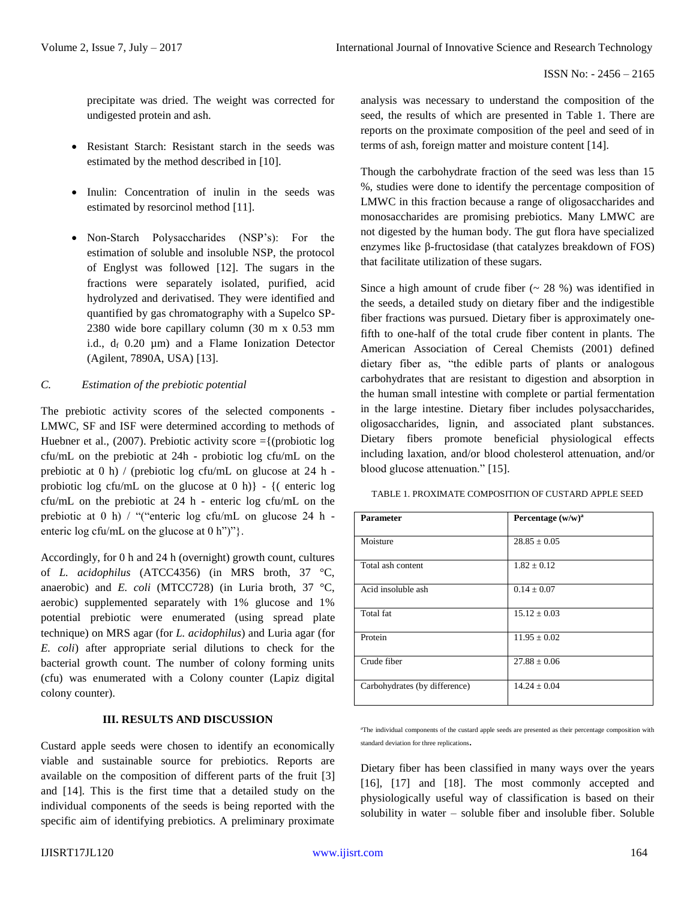precipitate was dried. The weight was corrected for undigested protein and ash.

- Resistant Starch: Resistant starch in the seeds was estimated by the method described in [10].
- Inulin: Concentration of inulin in the seeds was estimated by resorcinol method [11].
- Non-Starch Polysaccharides (NSP's): For the estimation of soluble and insoluble NSP, the protocol of Englyst was followed [12]. The sugars in the fractions were separately isolated, purified, acid hydrolyzed and derivatised. They were identified and quantified by gas chromatography with a Supelco SP-2380 wide bore capillary column (30 m x 0.53 mm i.d.,  $d_f$  0.20  $\mu$ m) and a Flame Ionization Detector (Agilent, 7890A, USA) [13].

# *C. Estimation of the prebiotic potential*

The prebiotic activity scores of the selected components - LMWC, SF and ISF were determined according to methods of Huebner et al., (2007). Prebiotic activity score  $=\{$  (probiotic log cfu/mL on the prebiotic at 24h - probiotic log cfu/mL on the prebiotic at 0 h) / (prebiotic log cfu/mL on glucose at 24 h probiotic log cfu/mL on the glucose at  $(0 h)$ } - {( enteric log cfu/mL on the prebiotic at 24 h - enteric log cfu/mL on the prebiotic at 0 h) / "("enteric log cfu/mL on glucose 24 h enteric log cfu/mL on the glucose at 0 h")"}.

Accordingly, for 0 h and 24 h (overnight) growth count, cultures of *L. acidophilus* (ATCC4356) (in MRS broth, 37 °C, anaerobic) and *E. coli* (MTCC728) (in Luria broth, 37 °C, aerobic) supplemented separately with 1% glucose and 1% potential prebiotic were enumerated (using spread plate technique) on MRS agar (for *L. acidophilus*) and Luria agar (for *E. coli*) after appropriate serial dilutions to check for the bacterial growth count. The number of colony forming units (cfu) was enumerated with a Colony counter (Lapiz digital colony counter).

# **III. RESULTS AND DISCUSSION**

Custard apple seeds were chosen to identify an economically viable and sustainable source for prebiotics. Reports are available on the composition of different parts of the fruit [3] and [14]. This is the first time that a detailed study on the individual components of the seeds is being reported with the specific aim of identifying prebiotics. A preliminary proximate analysis was necessary to understand the composition of the seed, the results of which are presented in Table 1. There are reports on the proximate composition of the peel and seed of in terms of ash, foreign matter and moisture content [14].

Though the carbohydrate fraction of the seed was less than 15 %, studies were done to identify the percentage composition of LMWC in this fraction because a range of oligosaccharides and monosaccharides are promising prebiotics. Many LMWC are not digested by the human body. The gut flora have specialized enzymes like β-fructosidase (that catalyzes breakdown of FOS) that facilitate utilization of these sugars.

Since a high amount of crude fiber  $(28\%)$  was identified in the seeds, a detailed study on dietary fiber and the indigestible fiber fractions was pursued. Dietary fiber is approximately onefifth to one-half of the total crude fiber content in plants. The American Association of Cereal Chemists (2001) defined dietary fiber as, "the edible parts of plants or analogous carbohydrates that are resistant to digestion and absorption in the human small intestine with complete or partial fermentation in the large intestine. Dietary fiber includes polysaccharides, oligosaccharides, lignin, and associated plant substances. Dietary fibers promote beneficial physiological effects including laxation, and/or blood cholesterol attenuation, and/or blood glucose attenuation." [15].

TABLE 1. PROXIMATE COMPOSITION OF CUSTARD APPLE SEED

| <b>Parameter</b>              | Percentage $(w/w)^a$ |
|-------------------------------|----------------------|
| Moisture                      | $28.85 \pm 0.05$     |
| Total ash content             | $1.82 + 0.12$        |
| Acid insoluble ash            | $0.14 \pm 0.07$      |
| Total fat                     | $15.12 + 0.03$       |
| Protein                       | $11.95 \pm 0.02$     |
| Crude fiber                   | $27.88 \pm 0.06$     |
| Carbohydrates (by difference) | $14.24 + 0.04$       |

<sup>a</sup>The individual components of the custard apple seeds are presented as their percentage composition with standard deviation for three replications.

Dietary fiber has been classified in many ways over the years [16], [17] and [18]. The most commonly accepted and physiologically useful way of classification is based on their solubility in water – soluble fiber and insoluble fiber. Soluble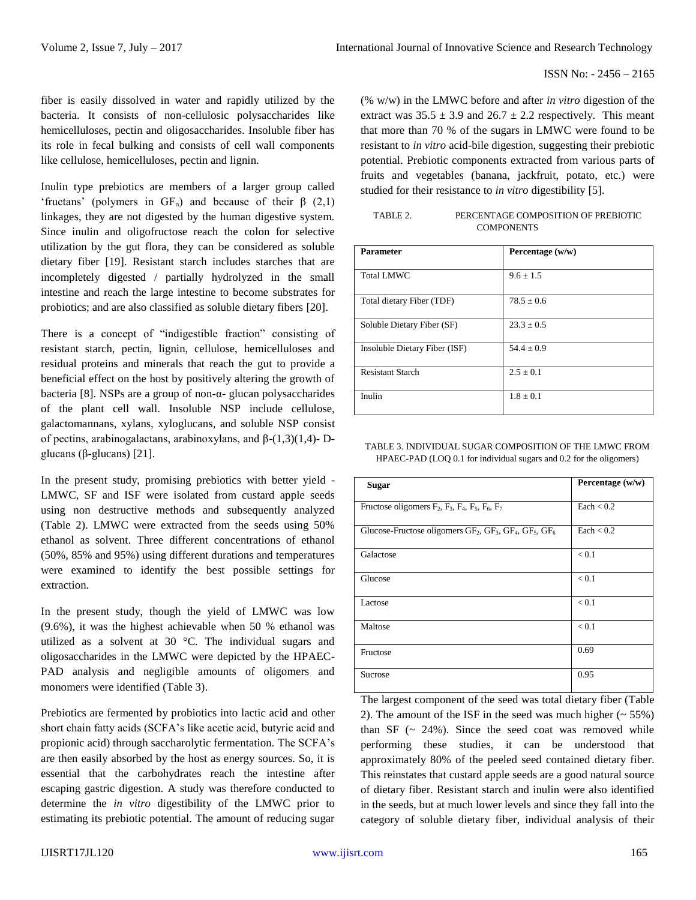fiber is easily dissolved in water and rapidly utilized by the bacteria. It consists of non-cellulosic polysaccharides like hemicelluloses, pectin and oligosaccharides. Insoluble fiber has its role in fecal bulking and consists of cell wall components like cellulose, hemicelluloses, pectin and lignin.

Inulin type prebiotics are members of a larger group called 'fructans' (polymers in  $GF_n$ ) and because of their  $\beta$  (2,1) linkages, they are not digested by the human digestive system. Since inulin and oligofructose reach the colon for selective utilization by the gut flora, they can be considered as soluble dietary fiber [19]. Resistant starch includes starches that are incompletely digested / partially hydrolyzed in the small intestine and reach the large intestine to become substrates for probiotics; and are also classified as soluble dietary fibers [20].

There is a concept of "indigestible fraction" consisting of resistant starch, pectin, lignin, cellulose, hemicelluloses and residual proteins and minerals that reach the gut to provide a beneficial effect on the host by positively altering the growth of bacteria [8]. NSPs are a group of non-α- glucan polysaccharides of the plant cell wall. Insoluble NSP include cellulose, galactomannans, xylans, xyloglucans, and soluble NSP consist of pectins, arabinogalactans, arabinoxylans, and β-(1,3)(1,4)- Dglucans (β-glucans) [21].

In the present study, promising prebiotics with better yield - LMWC, SF and ISF were isolated from custard apple seeds using non destructive methods and subsequently analyzed (Table 2). LMWC were extracted from the seeds using 50% ethanol as solvent. Three different concentrations of ethanol (50%, 85% and 95%) using different durations and temperatures were examined to identify the best possible settings for extraction.

In the present study, though the yield of LMWC was low (9.6%), it was the highest achievable when 50 % ethanol was utilized as a solvent at 30 °C. The individual sugars and oligosaccharides in the LMWC were depicted by the HPAEC-PAD analysis and negligible amounts of oligomers and monomers were identified (Table 3).

Prebiotics are fermented by probiotics into lactic acid and other short chain fatty acids (SCFA's like acetic acid, butyric acid and propionic acid) through saccharolytic fermentation. The SCFA's are then easily absorbed by the host as energy sources. So, it is essential that the carbohydrates reach the intestine after escaping gastric digestion. A study was therefore conducted to determine the *in vitro* digestibility of the LMWC prior to estimating its prebiotic potential. The amount of reducing sugar (% w/w) in the LMWC before and after *in vitro* digestion of the extract was  $35.5 \pm 3.9$  and  $26.7 \pm 2.2$  respectively. This meant that more than 70 % of the sugars in LMWC were found to be resistant to *in vitro* acid-bile digestion, suggesting their prebiotic potential. Prebiotic components extracted from various parts of fruits and vegetables (banana, jackfruit, potato, etc.) were studied for their resistance to *in vitro* digestibility [5].

| TABLE 2. | PERCENTAGE COMPOSITION OF PREBIOTIC |
|----------|-------------------------------------|
|          | <b>COMPONENTS</b>                   |

| <b>Parameter</b>              | Percentage $(w/w)$ |
|-------------------------------|--------------------|
|                               |                    |
| <b>Total LMWC</b>             | $9.6 + 1.5$        |
|                               |                    |
| Total dietary Fiber (TDF)     | $78.5 \pm 0.6$     |
| Soluble Dietary Fiber (SF)    | $23.3 + 0.5$       |
| Insoluble Dietary Fiber (ISF) | $54.4 + 0.9$       |
| <b>Resistant Starch</b>       | $2.5 + 0.1$        |
| Inulin                        | $1.8 \pm 0.1$      |

TABLE 3. INDIVIDUAL SUGAR COMPOSITION OF THE LMWC FROM HPAEC-PAD (LOQ 0.1 for individual sugars and 0.2 for the oligomers)

| <b>Sugar</b>                                                          | Percentage (w/w) |
|-----------------------------------------------------------------------|------------------|
| Fructose oligomers $F_2$ , $F_3$ , $F_4$ , $F_5$ , $F_6$ , $F_7$      | Each $< 0.2$     |
| Glucose-Fructose oligomers $GF_2$ , $GF_3$ , $GF_4$ , $GF_5$ , $GF_6$ | Each $< 0.2$     |
| Galactose                                                             | < 0.1            |
| Glucose                                                               | < 0.1            |
| Lactose                                                               | < 0.1            |
| Maltose                                                               | < 0.1            |
| Fructose                                                              | 0.69             |
| Sucrose                                                               | 0.95             |

The largest component of the seed was total dietary fiber (Table 2). The amount of the ISF in the seed was much higher  $($   $\sim$  55%) than SF  $($   $\sim$  24%). Since the seed coat was removed while performing these studies, it can be understood that approximately 80% of the peeled seed contained dietary fiber. This reinstates that custard apple seeds are a good natural source of dietary fiber. Resistant starch and inulin were also identified in the seeds, but at much lower levels and since they fall into the category of soluble dietary fiber, individual analysis of their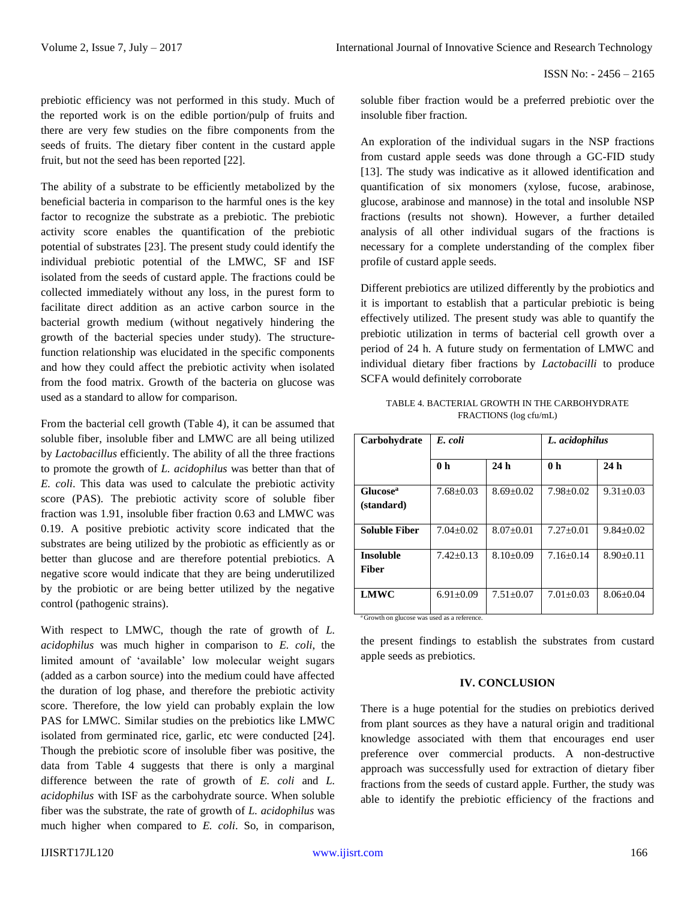ISSN No: - 2456 – 2165

prebiotic efficiency was not performed in this study. Much of the reported work is on the edible portion/pulp of fruits and there are very few studies on the fibre components from the seeds of fruits. The dietary fiber content in the custard apple fruit, but not the seed has been reported [22].

The ability of a substrate to be efficiently metabolized by the beneficial bacteria in comparison to the harmful ones is the key factor to recognize the substrate as a prebiotic. The prebiotic activity score enables the quantification of the prebiotic potential of substrates [23]. The present study could identify the individual prebiotic potential of the LMWC, SF and ISF isolated from the seeds of custard apple. The fractions could be collected immediately without any loss, in the purest form to facilitate direct addition as an active carbon source in the bacterial growth medium (without negatively hindering the growth of the bacterial species under study). The structurefunction relationship was elucidated in the specific components and how they could affect the prebiotic activity when isolated from the food matrix. Growth of the bacteria on glucose was used as a standard to allow for comparison.

From the bacterial cell growth (Table 4), it can be assumed that soluble fiber, insoluble fiber and LMWC are all being utilized by *Lactobacillus* efficiently. The ability of all the three fractions to promote the growth of *L. acidophilus* was better than that of *E. coli*. This data was used to calculate the prebiotic activity score (PAS). The prebiotic activity score of soluble fiber fraction was 1.91, insoluble fiber fraction 0.63 and LMWC was 0.19. A positive prebiotic activity score indicated that the substrates are being utilized by the probiotic as efficiently as or better than glucose and are therefore potential prebiotics. A negative score would indicate that they are being underutilized by the probiotic or are being better utilized by the negative control (pathogenic strains).

With respect to LMWC, though the rate of growth of *L. acidophilus* was much higher in comparison to *E. coli*, the limited amount of 'available' low molecular weight sugars (added as a carbon source) into the medium could have affected the duration of log phase, and therefore the prebiotic activity score. Therefore, the low yield can probably explain the low PAS for LMWC. Similar studies on the prebiotics like LMWC isolated from germinated rice, garlic, etc were conducted [24]. Though the prebiotic score of insoluble fiber was positive, the data from Table 4 suggests that there is only a marginal difference between the rate of growth of *E. coli* and *L. acidophilus* with ISF as the carbohydrate source. When soluble fiber was the substrate, the rate of growth of *L. acidophilus* was much higher when compared to *E. coli*. So, in comparison, soluble fiber fraction would be a preferred prebiotic over the insoluble fiber fraction.

An exploration of the individual sugars in the NSP fractions from custard apple seeds was done through a GC-FID study [13]. The study was indicative as it allowed identification and quantification of six monomers (xylose, fucose, arabinose, glucose, arabinose and mannose) in the total and insoluble NSP fractions (results not shown). However, a further detailed analysis of all other individual sugars of the fractions is necessary for a complete understanding of the complex fiber profile of custard apple seeds.

Different prebiotics are utilized differently by the probiotics and it is important to establish that a particular prebiotic is being effectively utilized. The present study was able to quantify the prebiotic utilization in terms of bacterial cell growth over a period of 24 h. A future study on fermentation of LMWC and individual dietary fiber fractions by *Lactobacilli* to produce SCFA would definitely corroborate

| Carbohydrate                       | E. coli         |                 | L. acidophilus  |                 |
|------------------------------------|-----------------|-----------------|-----------------|-----------------|
|                                    | 0 <sub>h</sub>  | 24h             | 0 <sub>h</sub>  | 24h             |
| Glucose <sup>a</sup><br>(standard) | $7.68 + 0.03$   | $8.69 \pm 0.02$ | $7.98 \pm 0.02$ | $9.31 + 0.03$   |
| <b>Soluble Fiber</b>               | $7.04 + 0.02$   | $8.07 + 0.01$   | $7.27+0.01$     | $9.84 + 0.02$   |
| <b>Insoluble</b><br>Fiber          | $7.42+0.13$     | $8.10+0.09$     | $7.16+0.14$     | $8.90+0.11$     |
| <b>LMWC</b>                        | $6.91 \pm 0.09$ | $7.51 \pm 0.07$ | $7.01 \pm 0.03$ | $8.06 \pm 0.04$ |

TABLE 4. BACTERIAL GROWTH IN THE CARBOHYDRATE FRACTIONS (log cfu/mL)

<sup>a</sup> Growth on glucose was used as a reference.

the present findings to establish the substrates from custard apple seeds as prebiotics.

#### **IV. CONCLUSION**

There is a huge potential for the studies on prebiotics derived from plant sources as they have a natural origin and traditional knowledge associated with them that encourages end user preference over commercial products. A non-destructive approach was successfully used for extraction of dietary fiber fractions from the seeds of custard apple. Further, the study was able to identify the prebiotic efficiency of the fractions and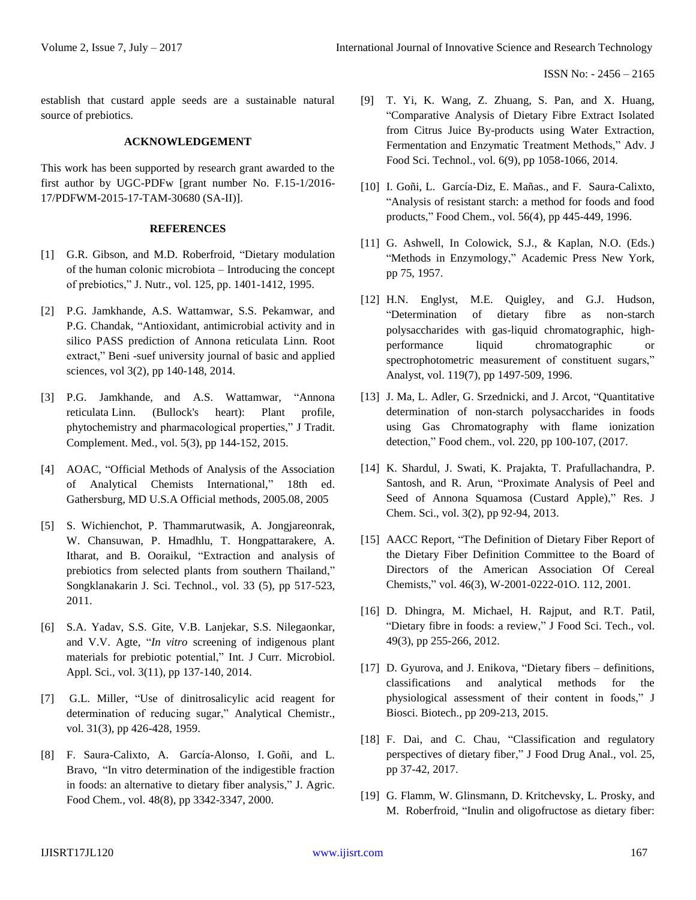establish that custard apple seeds are a sustainable natural source of prebiotics.

## **ACKNOWLEDGEMENT**

This work has been supported by research grant awarded to the first author by UGC-PDFw [grant number No. F.15-1/2016- 17/PDFWM-2015-17-TAM-30680 (SA-II)].

## **REFERENCES**

- [1] G.R. Gibson, and M.D. Roberfroid, "Dietary modulation of the human colonic microbiota – Introducing the concept of prebiotics," J. Nutr., vol. 125, pp. 1401-1412, 1995.
- [2] P.G. Jamkhande, A.S. Wattamwar, S.S. Pekamwar, and P.G. Chandak, "Antioxidant, antimicrobial activity and in silico PASS prediction of Annona reticulata Linn. Root extract," Beni -suef university journal of basic and applied sciences, vol 3(2), pp 140-148, 2014.
- [3] P.G. [Jamkhande,](http://www.sciencedirect.com/science/article/pii/S2225411015000504) and A.S. [Wattamwar,](http://www.sciencedirect.com/science/article/pii/S2225411015000504) "Annona reticulata Linn. (Bullock's heart): Plant profile, phytochemistry and pharmacological properties," J Tradit. Complement. Med., vol. 5(3), pp 144-152, 2015.
- [4] AOAC, "Official Methods of Analysis of the Association of Analytical Chemists International," 18th ed. Gathersburg, MD U.S.A Official methods, 2005.08, 2005
- [5] S. Wichienchot, P. Thammarutwasik, A. Jongjareonrak, W. Chansuwan, P. Hmadhlu, T. Hongpattarakere, A. Itharat, and B. Ooraikul, "Extraction and analysis of prebiotics from selected plants from southern Thailand," Songklanakarin J. Sci. Technol., vol. 33 (5), pp 517-523, 2011.
- [6] S.A. Yadav, S.S. Gite, V.B. Lanjekar, S.S. Nilegaonkar, and V.V. Agte, "*In vitro* screening of indigenous plant materials for prebiotic potential," Int. J Curr. Microbiol. Appl. Sci., vol. 3(11), pp 137-140, 2014.
- [7] G.L. Miller, "Use of dinitrosalicylic acid reagent for determination of reducing sugar," Analytical Chemistr., vol. 31(3), pp 426-428, 1959.
- [8] F. [Saura-Calixto,](https://www.ncbi.nlm.nih.gov/pubmed/?term=Saura-Calixto%20F%5BAuthor%5D&cauthor=true&cauthor_uid=10956113) A. [García-Alonso, I](https://www.ncbi.nlm.nih.gov/pubmed/?term=Garc%C3%ADa-Alonso%20A%5BAuthor%5D&cauthor=true&cauthor_uid=10956113). [Goñi, a](https://www.ncbi.nlm.nih.gov/pubmed/?term=Go%C3%B1i%20I%5BAuthor%5D&cauthor=true&cauthor_uid=10956113)nd L. [Bravo,](https://www.ncbi.nlm.nih.gov/pubmed/?term=Bravo%20L%5BAuthor%5D&cauthor=true&cauthor_uid=10956113) "In vitro determination of the indigestible fraction in foods: an alternative to dietary fiber analysis," J. Agric. Food Chem., vol. 48(8), pp 3342-3347, 2000.
- [9] T. Yi, K. Wang, Z. Zhuang, S. Pan, and X. Huang, "Comparative Analysis of Dietary Fibre Extract Isolated from Citrus Juice By-products using Water Extraction, Fermentation and Enzymatic Treatment Methods," Adv. J Food Sci. Technol., vol. 6(9), pp 1058-1066, 2014.
- [10] I. [Goñi,](http://www.sciencedirect.com/science/article/pii/0308814695002227) L. [García-Diz,](http://www.sciencedirect.com/science/article/pii/0308814695002227) E. [Mañas.,](http://www.sciencedirect.com/science/article/pii/0308814695002227) [and F. Saura-Calixto,](http://www.sciencedirect.com/science/article/pii/0308814695002227) "Analysis of resistant starch: a method for foods and food products," Food Chem., vol. 56(4), pp 445-449, 1996.
- [11] G. Ashwell, In Colowick, S.J., & Kaplan, N.O. (Eds.) "Methods in Enzymology," Academic Press New York, pp 75, 1957.
- [12] H.N. Englyst, M.E. Quigley, and G.J. Hudson, "Determination of dietary fibre as non-starch polysaccharides with gas-liquid chromatographic, highperformance liquid chromatographic or spectrophotometric measurement of constituent sugars," Analyst, vol. 119(7), pp 1497-509, 1996.
- [13] J. Ma, L. Adler, G. Srzednicki, and J. Arcot, "Quantitative determination of non-starch polysaccharides in foods using Gas Chromatography with flame ionization detection," Food chem., vol. 220, pp 100-107, (2017.
- [14] K. Shardul, J. Swati, K. Prajakta, T. Prafullachandra, P. Santosh, and R. Arun, "Proximate Analysis of Peel and Seed of Annona Squamosa (Custard Apple)," Res. J Chem. Sci., vol. 3(2), pp 92-94, 2013.
- [15] AACC Report, "The Definition of Dietary Fiber Report of the Dietary Fiber Definition Committee to the Board of Directors of the American Association Of Cereal Chemists," vol. 46(3), W-2001-0222-01O. 112, 2001.
- [16] D. Dhingra, M. Michael, H. Rajput, and R.T. Patil, "Dietary fibre in foods: a review," J Food Sci. Tech., vol. 49(3), pp 255-266, 2012.
- [17] D. Gyurova, and J. Enikova, "Dietary fibers definitions, classifications and analytical methods for the physiological assessment of their content in foods," J Biosci. Biotech., pp 209-213, 2015.
- [18] F. Dai, and C. Chau, "Classification and regulatory perspectives of dietary fiber," J Food Drug Anal., vol. 25, pp 37-42, 2017.
- [19] G. [Flamm, W](https://www.ncbi.nlm.nih.gov/pubmed/?term=Flamm%20G%5BAuthor%5D&cauthor=true&cauthor_uid=11497328). [Glinsmann, D](https://www.ncbi.nlm.nih.gov/pubmed/?term=Glinsmann%20W%5BAuthor%5D&cauthor=true&cauthor_uid=11497328). [Kritchevsky, L](https://www.ncbi.nlm.nih.gov/pubmed/?term=Kritchevsky%20D%5BAuthor%5D&cauthor=true&cauthor_uid=11497328). [Prosky, a](https://www.ncbi.nlm.nih.gov/pubmed/?term=Prosky%20L%5BAuthor%5D&cauthor=true&cauthor_uid=11497328)nd M. [Roberfroid,](https://www.ncbi.nlm.nih.gov/pubmed/?term=Roberfroid%20M%5BAuthor%5D&cauthor=true&cauthor_uid=11497328) "Inulin and oligofructose as dietary fiber: